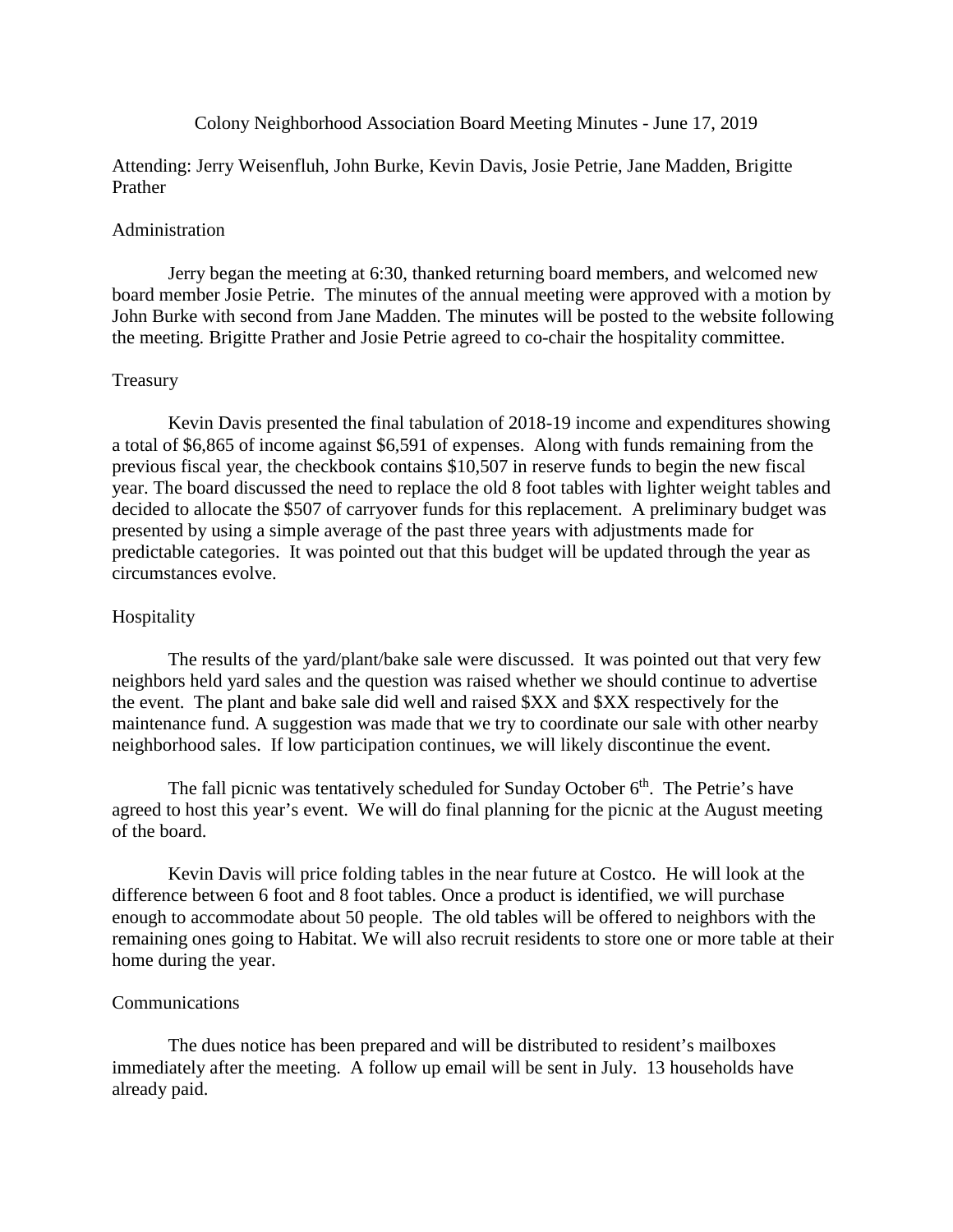## Colony Neighborhood Association Board Meeting Minutes - June 17, 2019

Attending: Jerry Weisenfluh, John Burke, Kevin Davis, Josie Petrie, Jane Madden, Brigitte Prather

## Administration

Jerry began the meeting at 6:30, thanked returning board members, and welcomed new board member Josie Petrie. The minutes of the annual meeting were approved with a motion by John Burke with second from Jane Madden. The minutes will be posted to the website following the meeting. Brigitte Prather and Josie Petrie agreed to co-chair the hospitality committee.

## Treasury

Kevin Davis presented the final tabulation of 2018-19 income and expenditures showing a total of \$6,865 of income against \$6,591 of expenses. Along with funds remaining from the previous fiscal year, the checkbook contains \$10,507 in reserve funds to begin the new fiscal year. The board discussed the need to replace the old 8 foot tables with lighter weight tables and decided to allocate the \$507 of carryover funds for this replacement. A preliminary budget was presented by using a simple average of the past three years with adjustments made for predictable categories. It was pointed out that this budget will be updated through the year as circumstances evolve.

#### Hospitality

The results of the yard/plant/bake sale were discussed. It was pointed out that very few neighbors held yard sales and the question was raised whether we should continue to advertise the event. The plant and bake sale did well and raised \$XX and \$XX respectively for the maintenance fund. A suggestion was made that we try to coordinate our sale with other nearby neighborhood sales. If low participation continues, we will likely discontinue the event.

The fall picnic was tentatively scheduled for Sunday October  $6<sup>th</sup>$ . The Petrie's have agreed to host this year's event. We will do final planning for the picnic at the August meeting of the board.

Kevin Davis will price folding tables in the near future at Costco. He will look at the difference between 6 foot and 8 foot tables. Once a product is identified, we will purchase enough to accommodate about 50 people. The old tables will be offered to neighbors with the remaining ones going to Habitat. We will also recruit residents to store one or more table at their home during the year.

#### **Communications**

The dues notice has been prepared and will be distributed to resident's mailboxes immediately after the meeting. A follow up email will be sent in July. 13 households have already paid.